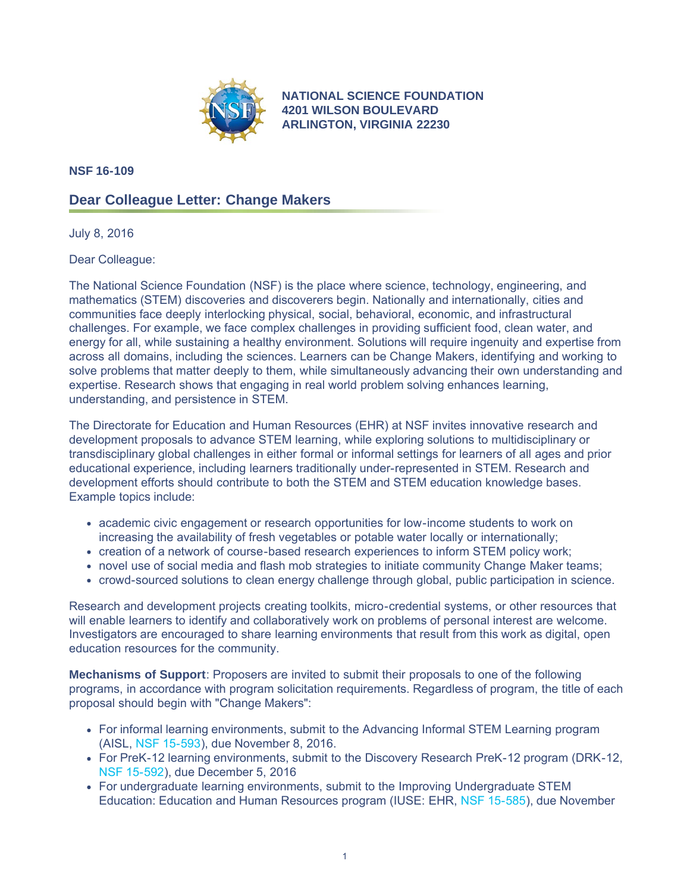

**NATIONAL SCIENCE FOUNDATION 4201 WILSON BOULEVARD ARLINGTON, VIRGINIA 22230**

**NSF 16-109**

## **Dear Colleague Letter: Change Makers**

July 8, 2016

Dear Colleague:

The National Science Foundation (NSF) is the place where science, technology, engineering, and mathematics (STEM) discoveries and discoverers begin. Nationally and internationally, cities and communities face deeply interlocking physical, social, behavioral, economic, and infrastructural challenges. For example, we face complex challenges in providing sufficient food, clean water, and energy for all, while sustaining a healthy environment. Solutions will require ingenuity and expertise from across all domains, including the sciences. Learners can be Change Makers, identifying and working to solve problems that matter deeply to them, while simultaneously advancing their own understanding and expertise. Research shows that engaging in real world problem solving enhances learning, understanding, and persistence in STEM.

The Directorate for Education and Human Resources (EHR) at NSF invites innovative research and development proposals to advance STEM learning, while exploring solutions to multidisciplinary or transdisciplinary global challenges in either formal or informal settings for learners of all ages and prior educational experience, including learners traditionally under-represented in STEM. Research and development efforts should contribute to both the STEM and STEM education knowledge bases. Example topics include:

- academic civic engagement or research opportunities for low-income students to work on increasing the availability of fresh vegetables or potable water locally or internationally;
- creation of a network of course-based research experiences to inform STEM policy work;
- novel use of social media and flash mob strategies to initiate community Change Maker teams;
- crowd-sourced solutions to clean energy challenge through global, public participation in science.

Research and development projects creating toolkits, micro-credential systems, or other resources that will enable learners to identify and collaboratively work on problems of personal interest are welcome. Investigators are encouraged to share learning environments that result from this work as digital, open education resources for the community.

**Mechanisms of Support**: Proposers are invited to submit their proposals to one of the following programs, in accordance with program solicitation requirements. Regardless of program, the title of each proposal should begin with "Change Makers":

- For informal learning environments, submit to the Advancing Informal STEM Learning program (AISL, [NSF 15-593](https://www.nsf.gov/publications/pub_summ.jsp?ods_key=nsf15593)), due November 8, 2016.
- For PreK-12 learning environments, submit to the Discovery Research PreK-12 program (DRK-12, [NSF 15-592\)](https://www.nsf.gov/publications/pub_summ.jsp?ods_key=nsf15592), due December 5, 2016
- For undergraduate learning environments, submit to the Improving Undergraduate STEM Education: Education and Human Resources program (IUSE: EHR, [NSF 15-585\)](https://www.nsf.gov/publications/pub_summ.jsp?ods_key=nsf15585), due November